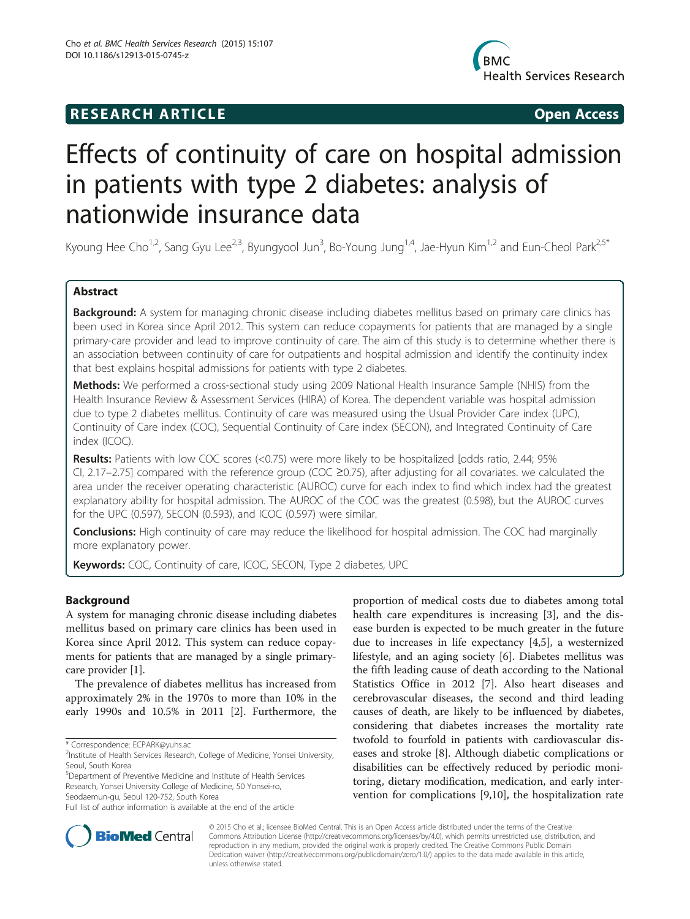# R E S EAR CH A R TIC L E Open Access



# Effects of continuity of care on hospital admission in patients with type 2 diabetes: analysis of nationwide insurance data

Kyoung Hee Cho<sup>1,2</sup>, Sang Gyu Lee<sup>2,3</sup>, Byungyool Jun<sup>3</sup>, Bo-Young Jung<sup>1,4</sup>, Jae-Hyun Kim<sup>1,2</sup> and Eun-Cheol Park<sup>2,5\*</sup>

# Abstract

Background: A system for managing chronic disease including diabetes mellitus based on primary care clinics has been used in Korea since April 2012. This system can reduce copayments for patients that are managed by a single primary-care provider and lead to improve continuity of care. The aim of this study is to determine whether there is an association between continuity of care for outpatients and hospital admission and identify the continuity index that best explains hospital admissions for patients with type 2 diabetes.

Methods: We performed a cross-sectional study using 2009 National Health Insurance Sample (NHIS) from the Health Insurance Review & Assessment Services (HIRA) of Korea. The dependent variable was hospital admission due to type 2 diabetes mellitus. Continuity of care was measured using the Usual Provider Care index (UPC), Continuity of Care index (COC), Sequential Continuity of Care index (SECON), and Integrated Continuity of Care index (ICOC).

Results: Patients with low COC scores (<0.75) were more likely to be hospitalized [odds ratio, 2.44; 95% CI, 2.17–2.75] compared with the reference group (COC ≥0.75), after adjusting for all covariates. we calculated the area under the receiver operating characteristic (AUROC) curve for each index to find which index had the greatest explanatory ability for hospital admission. The AUROC of the COC was the greatest (0.598), but the AUROC curves for the UPC (0.597), SECON (0.593), and ICOC (0.597) were similar.

**Conclusions:** High continuity of care may reduce the likelihood for hospital admission. The COC had marginally more explanatory power.

Keywords: COC, Continuity of care, ICOC, SECON, Type 2 diabetes, UPC

# Background

A system for managing chronic disease including diabetes mellitus based on primary care clinics has been used in Korea since April 2012. This system can reduce copayments for patients that are managed by a single primarycare provider [\[1](#page-8-0)].

The prevalence of diabetes mellitus has increased from approximately 2% in the 1970s to more than 10% in the early 1990s and 10.5% in 2011 [\[2](#page-8-0)]. Furthermore, the

5 Department of Preventive Medicine and Institute of Health Services Research, Yonsei University College of Medicine, 50 Yonsei-ro, Seodaemun-gu, Seoul 120-752, South Korea

proportion of medical costs due to diabetes among total health care expenditures is increasing [\[3\]](#page-8-0), and the disease burden is expected to be much greater in the future due to increases in life expectancy [[4,5\]](#page-8-0), a westernized lifestyle, and an aging society [\[6](#page-8-0)]. Diabetes mellitus was the fifth leading cause of death according to the National Statistics Office in 2012 [[7\]](#page-8-0). Also heart diseases and cerebrovascular diseases, the second and third leading causes of death, are likely to be influenced by diabetes, considering that diabetes increases the mortality rate twofold to fourfold in patients with cardiovascular diseases and stroke [[8\]](#page-8-0). Although diabetic complications or disabilities can be effectively reduced by periodic monitoring, dietary modification, medication, and early intervention for complications [[9](#page-8-0),[10](#page-8-0)], the hospitalization rate



© 2015 Cho et al.; licensee BioMed Central. This is an Open Access article distributed under the terms of the Creative Commons Attribution License [\(http://creativecommons.org/licenses/by/4.0\)](http://creativecommons.org/licenses/by/4.0), which permits unrestricted use, distribution, and reproduction in any medium, provided the original work is properly credited. The Creative Commons Public Domain Dedication waiver [\(http://creativecommons.org/publicdomain/zero/1.0/](http://creativecommons.org/publicdomain/zero/1.0/)) applies to the data made available in this article, unless otherwise stated.

<sup>\*</sup> Correspondence: [ECPARK@yuhs.ac](mailto:ECPARK@yuhs.ac) <sup>2</sup>

<sup>&</sup>lt;sup>2</sup>Institute of Health Services Research, College of Medicine, Yonsei University, Seoul, South Korea

Full list of author information is available at the end of the article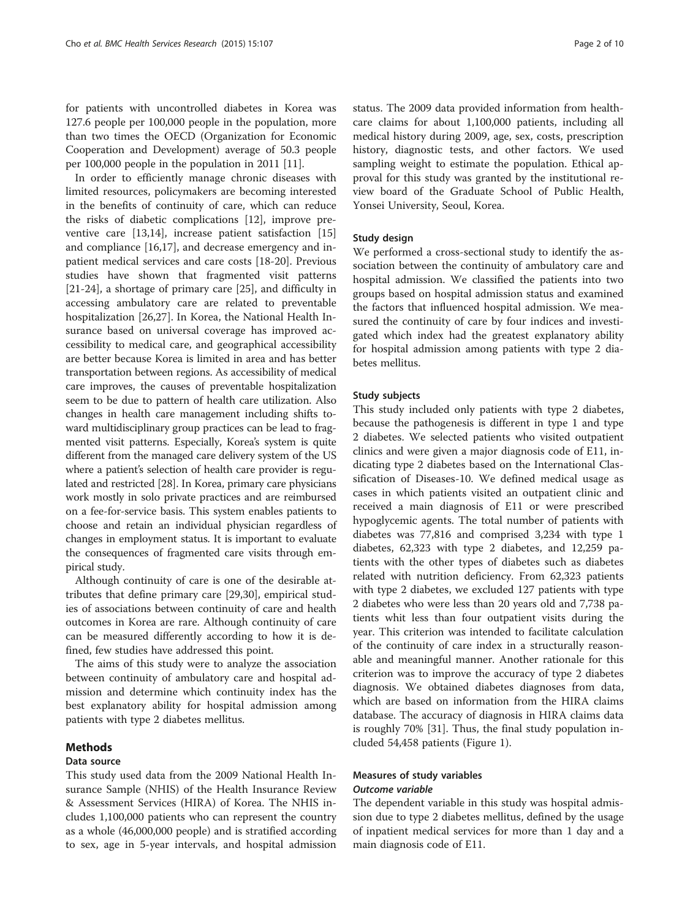for patients with uncontrolled diabetes in Korea was 127.6 people per 100,000 people in the population, more than two times the OECD (Organization for Economic Cooperation and Development) average of 50.3 people per 100,000 people in the population in 2011 [[11\]](#page-8-0).

In order to efficiently manage chronic diseases with limited resources, policymakers are becoming interested in the benefits of continuity of care, which can reduce the risks of diabetic complications [\[12](#page-8-0)], improve preventive care [\[13,14\]](#page-8-0), increase patient satisfaction [[15](#page-8-0)] and compliance [[16](#page-8-0),[17](#page-8-0)], and decrease emergency and inpatient medical services and care costs [[18-20\]](#page-8-0). Previous studies have shown that fragmented visit patterns [[21-24](#page-8-0)], a shortage of primary care [[25\]](#page-8-0), and difficulty in accessing ambulatory care are related to preventable hospitalization [[26](#page-8-0),[27](#page-8-0)]. In Korea, the National Health Insurance based on universal coverage has improved accessibility to medical care, and geographical accessibility are better because Korea is limited in area and has better transportation between regions. As accessibility of medical care improves, the causes of preventable hospitalization seem to be due to pattern of health care utilization. Also changes in health care management including shifts toward multidisciplinary group practices can be lead to fragmented visit patterns. Especially, Korea's system is quite different from the managed care delivery system of the US where a patient's selection of health care provider is regulated and restricted [\[28\]](#page-8-0). In Korea, primary care physicians work mostly in solo private practices and are reimbursed on a fee-for-service basis. This system enables patients to choose and retain an individual physician regardless of changes in employment status. It is important to evaluate the consequences of fragmented care visits through empirical study.

Although continuity of care is one of the desirable attributes that define primary care [[29,30\]](#page-8-0), empirical studies of associations between continuity of care and health outcomes in Korea are rare. Although continuity of care can be measured differently according to how it is defined, few studies have addressed this point.

The aims of this study were to analyze the association between continuity of ambulatory care and hospital admission and determine which continuity index has the best explanatory ability for hospital admission among patients with type 2 diabetes mellitus.

# Methods

#### Data source

This study used data from the 2009 National Health Insurance Sample (NHIS) of the Health Insurance Review & Assessment Services (HIRA) of Korea. The NHIS includes 1,100,000 patients who can represent the country as a whole (46,000,000 people) and is stratified according to sex, age in 5-year intervals, and hospital admission status. The 2009 data provided information from healthcare claims for about 1,100,000 patients, including all medical history during 2009, age, sex, costs, prescription history, diagnostic tests, and other factors. We used sampling weight to estimate the population. Ethical approval for this study was granted by the institutional review board of the Graduate School of Public Health, Yonsei University, Seoul, Korea.

#### Study design

We performed a cross-sectional study to identify the association between the continuity of ambulatory care and hospital admission. We classified the patients into two groups based on hospital admission status and examined the factors that influenced hospital admission. We measured the continuity of care by four indices and investigated which index had the greatest explanatory ability for hospital admission among patients with type 2 diabetes mellitus.

## Study subjects

This study included only patients with type 2 diabetes, because the pathogenesis is different in type 1 and type 2 diabetes. We selected patients who visited outpatient clinics and were given a major diagnosis code of E11, indicating type 2 diabetes based on the International Classification of Diseases-10. We defined medical usage as cases in which patients visited an outpatient clinic and received a main diagnosis of E11 or were prescribed hypoglycemic agents. The total number of patients with diabetes was 77,816 and comprised 3,234 with type 1 diabetes, 62,323 with type 2 diabetes, and 12,259 patients with the other types of diabetes such as diabetes related with nutrition deficiency. From 62,323 patients with type 2 diabetes, we excluded 127 patients with type 2 diabetes who were less than 20 years old and 7,738 patients whit less than four outpatient visits during the year. This criterion was intended to facilitate calculation of the continuity of care index in a structurally reasonable and meaningful manner. Another rationale for this criterion was to improve the accuracy of type 2 diabetes diagnosis. We obtained diabetes diagnoses from data, which are based on information from the HIRA claims database. The accuracy of diagnosis in HIRA claims data is roughly 70% [[31\]](#page-8-0). Thus, the final study population included 54,458 patients (Figure [1](#page-2-0)).

# Measures of study variables

# Outcome variable

The dependent variable in this study was hospital admission due to type 2 diabetes mellitus, defined by the usage of inpatient medical services for more than 1 day and a main diagnosis code of E11.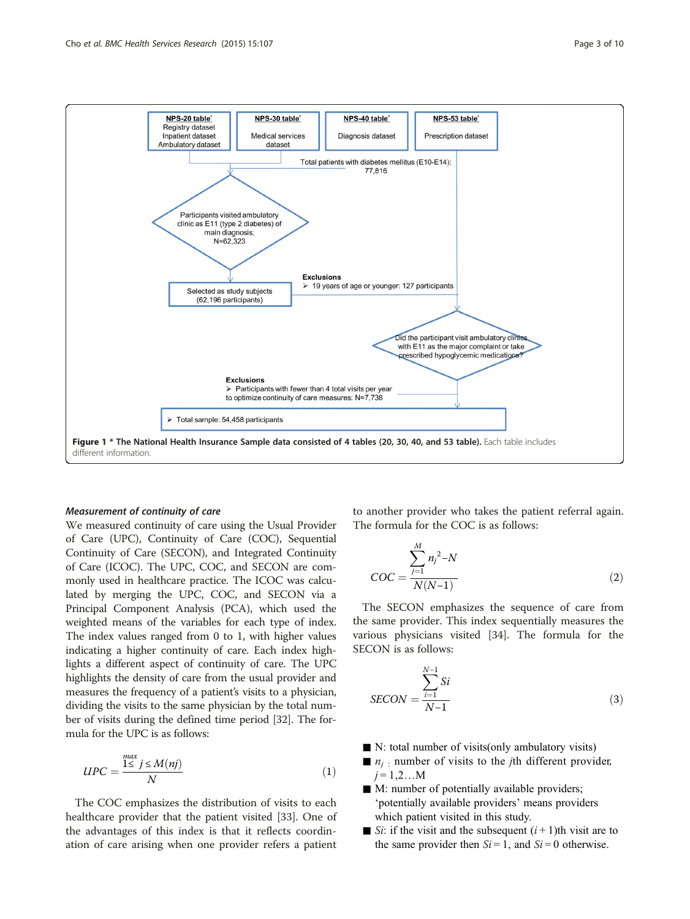<span id="page-2-0"></span>

#### Measurement of continuity of care

We measured continuity of care using the Usual Provider of Care (UPC), Continuity of Care (COC), Sequential Continuity of Care (SECON), and Integrated Continuity of Care (ICOC). The UPC, COC, and SECON are commonly used in healthcare practice. The ICOC was calculated by merging the UPC, COC, and SECON via a Principal Component Analysis (PCA), which used the weighted means of the variables for each type of index. The index values ranged from 0 to 1, with higher values indicating a higher continuity of care. Each index highlights a different aspect of continuity of care. The UPC highlights the density of care from the usual provider and measures the frequency of a patient's visits to a physician, dividing the visits to the same physician by the total number of visits during the defined time period [[32](#page-8-0)]. The formula for the UPC is as follows:

$$
UPC = \frac{\sum_{j=1}^{max} j \le M(nj)}{N} \tag{1}
$$

The COC emphasizes the distribution of visits to each healthcare provider that the patient visited [\[33](#page-8-0)]. One of the advantages of this index is that it reflects coordination of care arising when one provider refers a patient to another provider who takes the patient referral again. The formula for the COC is as follows:

$$
COC = \frac{\sum_{j=1}^{M} n_j^2 - N}{N(N-1)}
$$
 (2)

The SECON emphasizes the sequence of care from the same provider. This index sequentially measures the various physicians visited [[34](#page-9-0)]. The formula for the SECON is as follows:

$$
SECON = \frac{\sum_{i=1}^{N-1} Si}{N-1}
$$
\n(3)

- $\blacksquare$  N: total number of visits(only ambulatory visits)
- $\blacksquare$   $n_i$ : number of visits to the *j*th different provider,  $j = 1, 2...M$
- M: number of potentially available providers; 'potentially available providers' means providers which patient visited in this study.
- $\blacksquare$  Si: if the visit and the subsequent  $(i + 1)$ th visit are to the same provider then  $Si = 1$ , and  $Si = 0$  otherwise.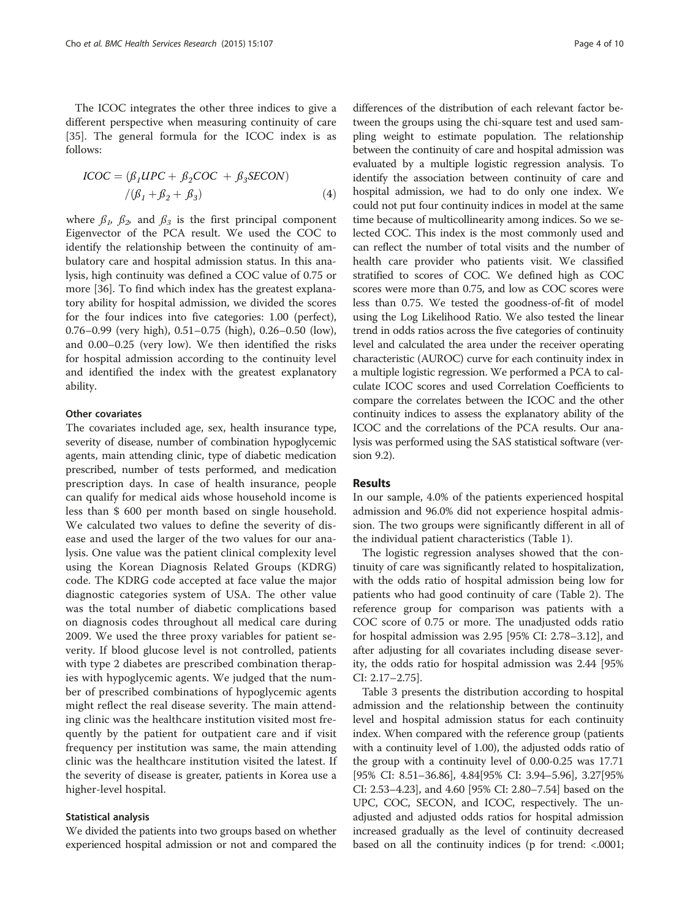The ICOC integrates the other three indices to give a different perspective when measuring continuity of care [[35\]](#page-9-0). The general formula for the ICOC index is as follows:

$$
ICOC = (\beta_1 UPC + \beta_2 COC + \beta_3 SECON)
$$
  

$$
/(\beta_1 + \beta_2 + \beta_3)
$$
 (4)

where  $\beta_1$ ,  $\beta_2$ , and  $\beta_3$  is the first principal component Eigenvector of the PCA result. We used the COC to identify the relationship between the continuity of ambulatory care and hospital admission status. In this analysis, high continuity was defined a COC value of 0.75 or more [\[36\]](#page-9-0). To find which index has the greatest explanatory ability for hospital admission, we divided the scores for the four indices into five categories: 1.00 (perfect), 0.76–0.99 (very high), 0.51–0.75 (high), 0.26–0.50 (low), and 0.00–0.25 (very low). We then identified the risks for hospital admission according to the continuity level and identified the index with the greatest explanatory ability.

#### Other covariates

The covariates included age, sex, health insurance type, severity of disease, number of combination hypoglycemic agents, main attending clinic, type of diabetic medication prescribed, number of tests performed, and medication prescription days. In case of health insurance, people can qualify for medical aids whose household income is less than \$ 600 per month based on single household. We calculated two values to define the severity of disease and used the larger of the two values for our analysis. One value was the patient clinical complexity level using the Korean Diagnosis Related Groups (KDRG) code. The KDRG code accepted at face value the major diagnostic categories system of USA. The other value was the total number of diabetic complications based on diagnosis codes throughout all medical care during 2009. We used the three proxy variables for patient severity. If blood glucose level is not controlled, patients with type 2 diabetes are prescribed combination therapies with hypoglycemic agents. We judged that the number of prescribed combinations of hypoglycemic agents might reflect the real disease severity. The main attending clinic was the healthcare institution visited most frequently by the patient for outpatient care and if visit frequency per institution was same, the main attending clinic was the healthcare institution visited the latest. If the severity of disease is greater, patients in Korea use a higher-level hospital.

#### Statistical analysis

We divided the patients into two groups based on whether experienced hospital admission or not and compared the

differences of the distribution of each relevant factor between the groups using the chi-square test and used sampling weight to estimate population. The relationship between the continuity of care and hospital admission was evaluated by a multiple logistic regression analysis. To identify the association between continuity of care and hospital admission, we had to do only one index. We could not put four continuity indices in model at the same time because of multicollinearity among indices. So we selected COC. This index is the most commonly used and can reflect the number of total visits and the number of health care provider who patients visit. We classified stratified to scores of COC. We defined high as COC scores were more than 0.75, and low as COC scores were less than 0.75. We tested the goodness-of-fit of model using the Log Likelihood Ratio. We also tested the linear trend in odds ratios across the five categories of continuity level and calculated the area under the receiver operating characteristic (AUROC) curve for each continuity index in a multiple logistic regression. We performed a PCA to calculate ICOC scores and used Correlation Coefficients to compare the correlates between the ICOC and the other continuity indices to assess the explanatory ability of the ICOC and the correlations of the PCA results. Our analysis was performed using the SAS statistical software (version 9.2).

#### Results

In our sample, 4.0% of the patients experienced hospital admission and 96.0% did not experience hospital admission. The two groups were significantly different in all of the individual patient characteristics (Table [1](#page-4-0)).

The logistic regression analyses showed that the continuity of care was significantly related to hospitalization, with the odds ratio of hospital admission being low for patients who had good continuity of care (Table [2\)](#page-6-0). The reference group for comparison was patients with a COC score of 0.75 or more. The unadjusted odds ratio for hospital admission was 2.95 [95% CI: 2.78–3.12], and after adjusting for all covariates including disease severity, the odds ratio for hospital admission was 2.44 [95% CI: 2.17–2.75].

Table [3](#page-7-0) presents the distribution according to hospital admission and the relationship between the continuity level and hospital admission status for each continuity index. When compared with the reference group (patients with a continuity level of 1.00), the adjusted odds ratio of the group with a continuity level of 0.00-0.25 was 17.71 [95% CI: 8.51–36.86], 4.84[95% CI: 3.94–5.96], 3.27[95% CI: 2.53–4.23], and 4.60 [95% CI: 2.80–7.54] based on the UPC, COC, SECON, and ICOC, respectively. The unadjusted and adjusted odds ratios for hospital admission increased gradually as the level of continuity decreased based on all the continuity indices (p for trend: <.0001;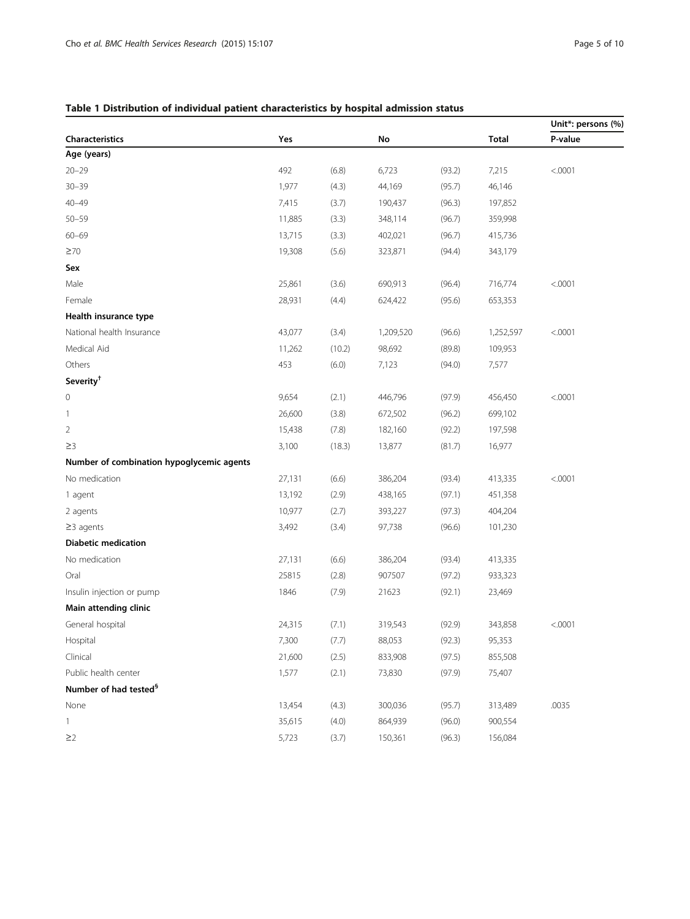# <span id="page-4-0"></span>Table 1 Distribution of individual patient characteristics by hospital admission status

|                                           |        |        |           |        | Unit*: persons (%) |         |  |
|-------------------------------------------|--------|--------|-----------|--------|--------------------|---------|--|
| Characteristics                           | Yes    |        |           | No     |                    | P-value |  |
| Age (years)                               |        |        |           |        |                    |         |  |
| $20 - 29$                                 | 492    | (6.8)  | 6,723     | (93.2) | 7,215              | < .0001 |  |
| $30 - 39$                                 | 1,977  | (4.3)  | 44,169    | (95.7) | 46,146             |         |  |
| $40 - 49$                                 | 7,415  | (3.7)  | 190,437   | (96.3) | 197,852            |         |  |
| $50 - 59$                                 | 11,885 | (3.3)  | 348,114   | (96.7) | 359,998            |         |  |
| $60 - 69$                                 | 13,715 | (3.3)  | 402,021   | (96.7) | 415,736            |         |  |
| $\geq 70$                                 | 19,308 | (5.6)  | 323,871   | (94.4) | 343,179            |         |  |
| Sex                                       |        |        |           |        |                    |         |  |
| Male                                      | 25,861 | (3.6)  | 690,913   | (96.4) | 716,774            | < .0001 |  |
| Female                                    | 28,931 | (4.4)  | 624,422   | (95.6) | 653,353            |         |  |
| Health insurance type                     |        |        |           |        |                    |         |  |
| National health Insurance                 | 43,077 | (3.4)  | 1,209,520 | (96.6) | 1,252,597          | < .0001 |  |
| Medical Aid                               | 11,262 | (10.2) | 98,692    | (89.8) | 109,953            |         |  |
| Others                                    | 453    | (6.0)  | 7,123     | (94.0) | 7,577              |         |  |
| Severity <sup>†</sup>                     |        |        |           |        |                    |         |  |
| 0                                         | 9,654  | (2.1)  | 446,796   | (97.9) | 456,450            | < .0001 |  |
| 1                                         | 26,600 | (3.8)  | 672,502   | (96.2) | 699,102            |         |  |
| 2                                         | 15,438 | (7.8)  | 182,160   | (92.2) | 197,598            |         |  |
| $\geq$ 3                                  | 3,100  | (18.3) | 13,877    | (81.7) | 16,977             |         |  |
| Number of combination hypoglycemic agents |        |        |           |        |                    |         |  |
| No medication                             | 27,131 | (6.6)  | 386,204   | (93.4) | 413,335            | < .0001 |  |
| 1 agent                                   | 13,192 | (2.9)  | 438,165   | (97.1) | 451,358            |         |  |
| 2 agents                                  | 10,977 | (2.7)  | 393,227   | (97.3) | 404,204            |         |  |
| $\geq$ 3 agents                           | 3,492  | (3.4)  | 97,738    | (96.6) | 101,230            |         |  |
| <b>Diabetic medication</b>                |        |        |           |        |                    |         |  |
| No medication                             | 27,131 | (6.6)  | 386,204   | (93.4) | 413,335            |         |  |
| Oral                                      | 25815  | (2.8)  | 907507    | (97.2) | 933,323            |         |  |
| Insulin injection or pump                 | 1846   | (7.9)  | 21623     | (92.1) | 23,469             |         |  |
| Main attending clinic                     |        |        |           |        |                    |         |  |
| General hospital                          | 24,315 | (7.1)  | 319,543   | (92.9) | 343,858            | < .0001 |  |
| Hospital                                  | 7,300  | (7.7)  | 88,053    | (92.3) | 95,353             |         |  |
| Clinical                                  | 21,600 | (2.5)  | 833,908   | (97.5) | 855,508            |         |  |
| Public health center                      | 1,577  | (2.1)  | 73,830    | (97.9) | 75,407             |         |  |
| Number of had tested <sup>§</sup>         |        |        |           |        |                    |         |  |
| None                                      | 13,454 | (4.3)  | 300,036   | (95.7) | 313,489            | .0035   |  |
| 1                                         | 35,615 | (4.0)  | 864,939   | (96.0) | 900,554            |         |  |
| $\geq$ 2                                  | 5,723  | (3.7)  | 150,361   | (96.3) | 156,084            |         |  |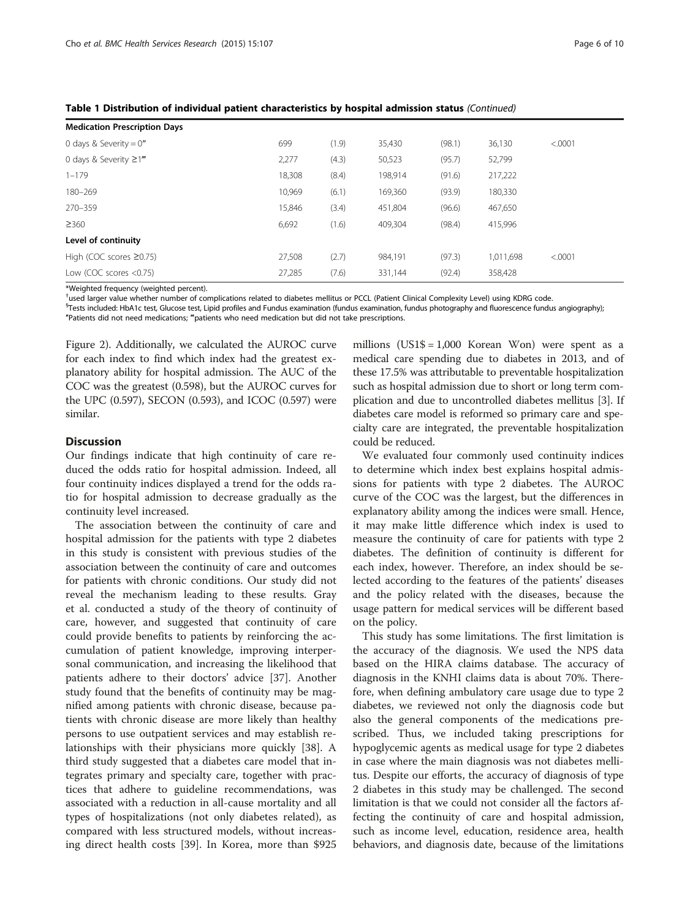| <b>Medication Prescription Days</b> |        |       |         |        |           |         |
|-------------------------------------|--------|-------|---------|--------|-----------|---------|
| 0 days & Severity = $0''$           | 699    | (1.9) | 35,430  | (98.1) | 36,130    | < .0001 |
| 0 days & Severity $\geq 1'''$       | 2,277  | (4.3) | 50,523  | (95.7) | 52,799    |         |
| $1 - 179$                           | 18,308 | (8.4) | 198,914 | (91.6) | 217,222   |         |
| 180-269                             | 10,969 | (6.1) | 169,360 | (93.9) | 180,330   |         |
| 270-359                             | 15,846 | (3.4) | 451,804 | (96.6) | 467,650   |         |
| $\geq$ 360                          | 6,692  | (1.6) | 409.304 | (98.4) | 415,996   |         |
| Level of continuity                 |        |       |         |        |           |         |
| High (COC scores ≥0.75)             | 27,508 | (2.7) | 984.191 | (97.3) | 1,011,698 | < .0001 |
| Low (COC scores <0.75)              | 27,285 | (7.6) | 331,144 | (92.4) | 358,428   |         |

Table 1 Distribution of individual patient characteristics by hospital admission status (Continued)

\*Weighted frequency (weighted percent).

<sup>+</sup>used larger value whether number of complications related to diabetes mellitus or PCCL (Patient Clinical Complexity Level) using KDRG code.

<sup>§</sup>Tests included: HbA1c test, Glucose test, Lipid profiles and Fundus examination (fundus examination, fundus photography and fluorescence fundus angiography<u>)</u> ″Patients did not need medications; ‴patients who need medication but did not take prescriptions.

Figure [2\)](#page-7-0). Additionally, we calculated the AUROC curve for each index to find which index had the greatest explanatory ability for hospital admission. The AUC of the COC was the greatest (0.598), but the AUROC curves for the UPC (0.597), SECON (0.593), and ICOC (0.597) were similar.

#### **Discussion**

Our findings indicate that high continuity of care reduced the odds ratio for hospital admission. Indeed, all four continuity indices displayed a trend for the odds ratio for hospital admission to decrease gradually as the continuity level increased.

The association between the continuity of care and hospital admission for the patients with type 2 diabetes in this study is consistent with previous studies of the association between the continuity of care and outcomes for patients with chronic conditions. Our study did not reveal the mechanism leading to these results. Gray et al. conducted a study of the theory of continuity of care, however, and suggested that continuity of care could provide benefits to patients by reinforcing the accumulation of patient knowledge, improving interpersonal communication, and increasing the likelihood that patients adhere to their doctors' advice [\[37\]](#page-9-0). Another study found that the benefits of continuity may be magnified among patients with chronic disease, because patients with chronic disease are more likely than healthy persons to use outpatient services and may establish relationships with their physicians more quickly [\[38](#page-9-0)]. A third study suggested that a diabetes care model that integrates primary and specialty care, together with practices that adhere to guideline recommendations, was associated with a reduction in all-cause mortality and all types of hospitalizations (not only diabetes related), as compared with less structured models, without increasing direct health costs [\[39\]](#page-9-0). In Korea, more than \$925

millions  $(US1\$  = 1,000 Korean Won) were spent as a medical care spending due to diabetes in 2013, and of these 17.5% was attributable to preventable hospitalization such as hospital admission due to short or long term complication and due to uncontrolled diabetes mellitus [\[3](#page-8-0)]. If diabetes care model is reformed so primary care and specialty care are integrated, the preventable hospitalization could be reduced.

We evaluated four commonly used continuity indices to determine which index best explains hospital admissions for patients with type 2 diabetes. The AUROC curve of the COC was the largest, but the differences in explanatory ability among the indices were small. Hence, it may make little difference which index is used to measure the continuity of care for patients with type 2 diabetes. The definition of continuity is different for each index, however. Therefore, an index should be selected according to the features of the patients' diseases and the policy related with the diseases, because the usage pattern for medical services will be different based on the policy.

This study has some limitations. The first limitation is the accuracy of the diagnosis. We used the NPS data based on the HIRA claims database. The accuracy of diagnosis in the KNHI claims data is about 70%. Therefore, when defining ambulatory care usage due to type 2 diabetes, we reviewed not only the diagnosis code but also the general components of the medications prescribed. Thus, we included taking prescriptions for hypoglycemic agents as medical usage for type 2 diabetes in case where the main diagnosis was not diabetes mellitus. Despite our efforts, the accuracy of diagnosis of type 2 diabetes in this study may be challenged. The second limitation is that we could not consider all the factors affecting the continuity of care and hospital admission, such as income level, education, residence area, health behaviors, and diagnosis date, because of the limitations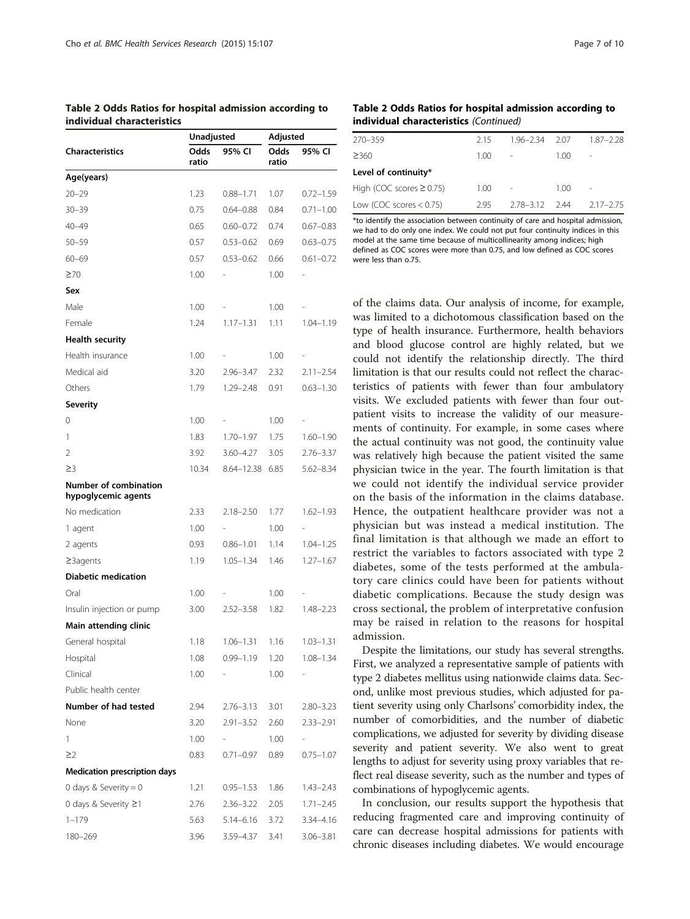| וועו טועומו כוומו מכנכו ואנוכא                      |               |               |               |               |  |  |  |  |
|-----------------------------------------------------|---------------|---------------|---------------|---------------|--|--|--|--|
|                                                     | Unadjusted    |               | Adjusted      |               |  |  |  |  |
| <b>Characteristics</b>                              | Odds<br>ratio | 95% CI        | Odds<br>ratio | 95% CI        |  |  |  |  |
| Age(years)                                          |               |               |               |               |  |  |  |  |
| $20 - 29$                                           | 1.23          | $0.88 - 1.71$ | 1.07          | $0.72 - 1.59$ |  |  |  |  |
| $30 - 39$                                           | 0.75          | $0.64 - 0.88$ | 0.84          | $0.71 - 1.00$ |  |  |  |  |
| $40 - 49$                                           | 0.65          | $0.60 - 0.72$ | 0.74          | $0.67 - 0.83$ |  |  |  |  |
| 50-59                                               | 0.57          | $0.53 - 0.62$ | 0.69          | $0.63 - 0.75$ |  |  |  |  |
| $60 - 69$                                           | 0.57          | $0.53 - 0.62$ | 0.66          | $0.61 - 0.72$ |  |  |  |  |
| $\geq 70$                                           | 1.00          |               | 1.00          |               |  |  |  |  |
| Sex                                                 |               |               |               |               |  |  |  |  |
| Male                                                | 1.00          |               | 1.00          |               |  |  |  |  |
| Female                                              | 1.24          | $1.17 - 1.31$ | 1.11          | $1.04 - 1.19$ |  |  |  |  |
| <b>Health security</b>                              |               |               |               |               |  |  |  |  |
| Health insurance                                    | 1.00          |               | 1.00          |               |  |  |  |  |
| Medical aid                                         | 3.20          | 2.96-3.47     | 2.32          | $2.11 - 2.54$ |  |  |  |  |
| Others                                              | 1.79          | 1.29-2.48     | 0.91          | $0.63 - 1.30$ |  |  |  |  |
| <b>Severity</b>                                     |               |               |               |               |  |  |  |  |
| 0                                                   | 1.00          |               | 1.00          |               |  |  |  |  |
| 1                                                   | 1.83          | $1.70 - 1.97$ | 1.75          | $1.60 - 1.90$ |  |  |  |  |
| 2                                                   | 3.92          | $3.60 - 4.27$ | 3.05          | $2.76 - 3.37$ |  |  |  |  |
| $\geq$ 3                                            | 10.34         | 8.64-12.38    | 6.85          | $5.62 - 8.34$ |  |  |  |  |
| <b>Number of combination</b><br>hypoglycemic agents |               |               |               |               |  |  |  |  |
| No medication                                       | 2.33          | $2.18 - 2.50$ | 1.77          | $1.62 - 1.93$ |  |  |  |  |
| 1 agent                                             | 1.00          |               | 1.00          |               |  |  |  |  |
| 2 agents                                            | 0.93          | $0.86 - 1.01$ | 1.14          | $1.04 - 1.25$ |  |  |  |  |
| $\geq$ 3 agents                                     | 1.19          | $1.05 - 1.34$ | 1.46          | $1.27 - 1.67$ |  |  |  |  |
| <b>Diabetic medication</b>                          |               |               |               |               |  |  |  |  |
| Oral                                                | 1.00          |               | 1.00          |               |  |  |  |  |
| Insulin injection or pump                           | 3.00          | $2.52 - 3.58$ | 1.82          | $1.48 - 2.23$ |  |  |  |  |
| Main attending clinic                               |               |               |               |               |  |  |  |  |
| General hospital                                    | 1.18          | $1.06 - 1.31$ | 1.16          | $1.03 - 1.31$ |  |  |  |  |
| Hospital                                            | 1.08          | $0.99 - 1.19$ | 1.20          | $1.08 - 1.34$ |  |  |  |  |
| Clinical                                            | 1.00          |               | 1.00          |               |  |  |  |  |
| Public health center                                |               |               |               |               |  |  |  |  |
| Number of had tested                                | 2.94          | $2.76 - 3.13$ | 3.01          | $2.80 - 3.23$ |  |  |  |  |
| None                                                | 3.20          | $2.91 - 3.52$ | 2.60          | 2.33-2.91     |  |  |  |  |
| 1                                                   | 1.00          |               | 1.00          |               |  |  |  |  |
| $\geq$ 2                                            | 0.83          | $0.71 - 0.97$ | 0.89          | $0.75 - 1.07$ |  |  |  |  |
| <b>Medication prescription days</b>                 |               |               |               |               |  |  |  |  |
| 0 days & Severity = $0$                             | 1.21          | $0.95 - 1.53$ | 1.86          | 1.43–2.43     |  |  |  |  |
| 0 days & Severity ≥1                                | 2.76          | 2.36-3.22     | 2.05          | 1.71–2.45     |  |  |  |  |
| $1 - 179$                                           | 5.63          | 5.14-6.16     | 3.72          | 3.34-4.16     |  |  |  |  |
|                                                     |               |               |               |               |  |  |  |  |

180–269 3.96 3.59–4.37 3.41 3.06–3.81

<span id="page-6-0"></span>Table 2 Odds Ratios for hospital admission according to individual characteristics

Table 2 Odds Ratios for hospital admission according to individual characteristics (Continued)

| 270-359                       | 215  | $1.96 - 2.34$ 2.07       |      | 1.87–2.28     |
|-------------------------------|------|--------------------------|------|---------------|
| $\geq 360$                    | 1.00 | $\overline{\phantom{a}}$ | 1.00 | -             |
| Level of continuity*          |      |                          |      |               |
| High (COC scores $\geq$ 0.75) | 1.00 | $\qquad \qquad$          | 1.00 | -             |
| Low (COC scores $< 0.75$ )    | 295  | 2.78-3.12                | 244  | $2.17 - 2.75$ |

\*to identify the association between continuity of care and hospital admission, we had to do only one index. We could not put four continuity indices in this model at the same time because of multicollinearity among indices; high defined as COC scores were more than 0.75, and low defined as COC scores were less than o.75.

of the claims data. Our analysis of income, for example, was limited to a dichotomous classification based on the type of health insurance. Furthermore, health behaviors and blood glucose control are highly related, but we could not identify the relationship directly. The third limitation is that our results could not reflect the characteristics of patients with fewer than four ambulatory visits. We excluded patients with fewer than four outpatient visits to increase the validity of our measurements of continuity. For example, in some cases where the actual continuity was not good, the continuity value was relatively high because the patient visited the same physician twice in the year. The fourth limitation is that we could not identify the individual service provider on the basis of the information in the claims database. Hence, the outpatient healthcare provider was not a physician but was instead a medical institution. The final limitation is that although we made an effort to restrict the variables to factors associated with type 2 diabetes, some of the tests performed at the ambulatory care clinics could have been for patients without diabetic complications. Because the study design was cross sectional, the problem of interpretative confusion may be raised in relation to the reasons for hospital admission.

Despite the limitations, our study has several strengths. First, we analyzed a representative sample of patients with type 2 diabetes mellitus using nationwide claims data. Second, unlike most previous studies, which adjusted for patient severity using only Charlsons' comorbidity index, the number of comorbidities, and the number of diabetic complications, we adjusted for severity by dividing disease severity and patient severity. We also went to great lengths to adjust for severity using proxy variables that reflect real disease severity, such as the number and types of combinations of hypoglycemic agents.

In conclusion, our results support the hypothesis that reducing fragmented care and improving continuity of care can decrease hospital admissions for patients with chronic diseases including diabetes. We would encourage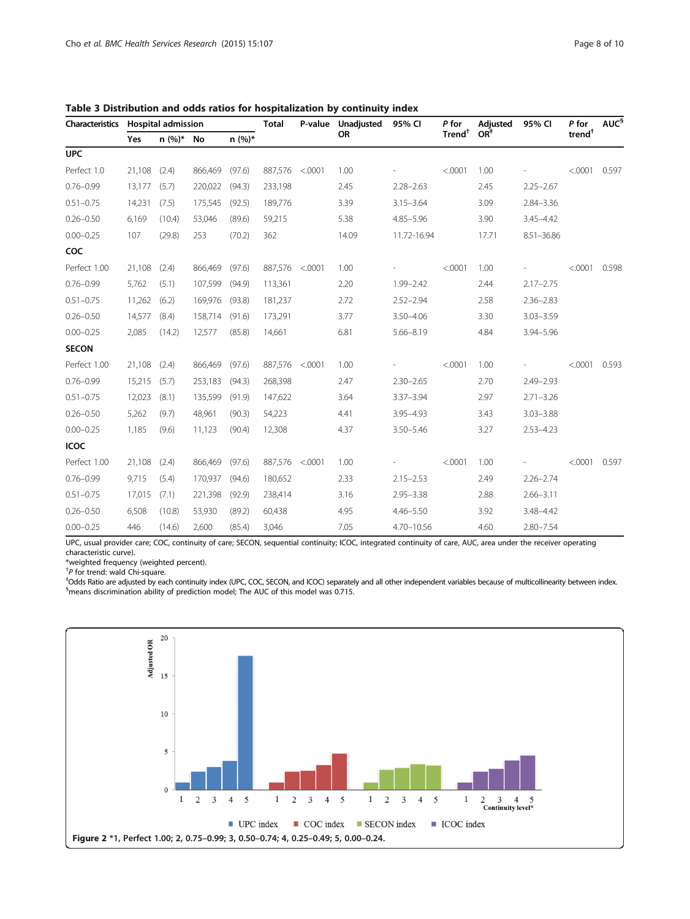|               | Characteristics Hospital admission |              |         |           | <b>Total</b>   | P-value | Unadjusted | 95% CI        | P for              | Adjusted        | 95% CI        | P for              | $\mathsf{AUC}^{\S}$ |
|---------------|------------------------------------|--------------|---------|-----------|----------------|---------|------------|---------------|--------------------|-----------------|---------------|--------------------|---------------------|
|               | Yes                                | $n (%)^*$ No |         | $n (%)^*$ |                |         | OR         |               | Trend <sup>+</sup> | OR <sup>‡</sup> |               | trend <sup>†</sup> |                     |
| <b>UPC</b>    |                                    |              |         |           |                |         |            |               |                    |                 |               |                    |                     |
| Perfect 1.0   | 21,108                             | (2.4)        | 866,469 | (97.6)    | 887,576 <.0001 |         | 1.00       |               | < .0001            | 1.00            |               | < .0001            | 0.597               |
| $0.76 - 0.99$ | 13,177                             | (5.7)        | 220,022 | (94.3)    | 233,198        |         | 2.45       | $2.28 - 2.63$ |                    | 2.45            | $2.25 - 2.67$ |                    |                     |
| $0.51 - 0.75$ | 14,231                             | (7.5)        | 175,545 | (92.5)    | 189,776        |         | 3.39       | $3.15 - 3.64$ |                    | 3.09            | $2.84 - 3.36$ |                    |                     |
| $0.26 - 0.50$ | 6,169                              | (10.4)       | 53,046  | (89.6)    | 59,215         |         | 5.38       | $4.85 - 5.96$ |                    | 3.90            | 3.45-4.42     |                    |                     |
| $0.00 - 0.25$ | 107                                | (29.8)       | 253     | (70.2)    | 362            |         | 14.09      | 11.72-16.94   |                    | 17.71           | 8.51-36.86    |                    |                     |
| COC           |                                    |              |         |           |                |         |            |               |                    |                 |               |                    |                     |
| Perfect 1.00  | 21,108                             | (2.4)        | 866,469 | (97.6)    | 887,576 <.0001 |         | 1.00       |               | < .0001            | 1.00            |               | < .0001            | 0.598               |
| $0.76 - 0.99$ | 5,762                              | (5.1)        | 107,599 | (94.9)    | 113,361        |         | 2.20       | 1.99-2.42     |                    | 2.44            | $2.17 - 2.75$ |                    |                     |
| $0.51 - 0.75$ | 11,262                             | (6.2)        | 169,976 | (93.8)    | 181,237        |         | 2.72       | $2.52 - 2.94$ |                    | 2.58            | $2.36 - 2.83$ |                    |                     |
| $0.26 - 0.50$ | 14,577                             | (8.4)        | 158,714 | (91.6)    | 173,291        |         | 3.77       | $3.50 - 4.06$ |                    | 3.30            | $3.03 - 3.59$ |                    |                     |
| $0.00 - 0.25$ | 2,085                              | (14.2)       | 12,577  | (85.8)    | 14,661         |         | 6.81       | $5.66 - 8.19$ |                    | 4.84            | 3.94-5.96     |                    |                     |
| <b>SECON</b>  |                                    |              |         |           |                |         |            |               |                    |                 |               |                    |                     |
| Perfect 1.00  | 21,108                             | (2.4)        | 866,469 | (97.6)    | 887,576        | < .0001 | 1.00       |               | < .0001            | 1.00            |               | < .0001            | 0.593               |
| $0.76 - 0.99$ | 15,215                             | (5.7)        | 253,183 | (94.3)    | 268,398        |         | 2.47       | $2.30 - 2.65$ |                    | 2.70            | $2.49 - 2.93$ |                    |                     |
| $0.51 - 0.75$ | 12,023                             | (8.1)        | 135,599 | (91.9)    | 147,622        |         | 3.64       | $3.37 - 3.94$ |                    | 2.97            | $2.71 - 3.26$ |                    |                     |
| $0.26 - 0.50$ | 5,262                              | (9.7)        | 48,961  | (90.3)    | 54,223         |         | 4.41       | 3.95-4.93     |                    | 3.43            | $3.03 - 3.88$ |                    |                     |
| $0.00 - 0.25$ | 1,185                              | (9.6)        | 11,123  | (90.4)    | 12,308         |         | 4.37       | $3.50 - 5.46$ |                    | 3.27            | $2.53 - 4.23$ |                    |                     |
| <b>ICOC</b>   |                                    |              |         |           |                |         |            |               |                    |                 |               |                    |                     |
| Perfect 1.00  | 21,108                             | (2.4)        | 866,469 | (97.6)    | 887,576 <.0001 |         | 1.00       |               | < .0001            | 1.00            |               | < .0001            | 0.597               |
| $0.76 - 0.99$ | 9,715                              | (5.4)        | 170,937 | (94.6)    | 180,652        |         | 2.33       | $2.15 - 2.53$ |                    | 2.49            | $2.26 - 2.74$ |                    |                     |
| $0.51 - 0.75$ | 17,015                             | (7.1)        | 221,398 | (92.9)    | 238,414        |         | 3.16       | $2.95 - 3.38$ |                    | 2.88            | $2.66 - 3.11$ |                    |                     |
| $0.26 - 0.50$ | 6,508                              | (10.8)       | 53,930  | (89.2)    | 60,438         |         | 4.95       | $4.46 - 5.50$ |                    | 3.92            | 3.48-4.42     |                    |                     |
| $0.00 - 0.25$ | 446                                | (14.6)       | 2,600   | (85.4)    | 3,046          |         | 7.05       | 4.70-10.56    |                    | 4.60            | $2.80 - 7.54$ |                    |                     |

<span id="page-7-0"></span>

UPC, usual provider care; COC, continuity of care; SECON, sequential continuity; ICOC, integrated continuity of care, AUC, area under the receiver operating characteristic curve).

\*weighted frequency (weighted percent).

<sup>†</sup>P for trend: wald Chi-square.

\*Odds Ratio are adjusted by each continuity index (UPC, COC, SECON, and ICOC) separately and all other independent variables because of multicollinearity between index. <sup>§</sup> means discrimination ability of prediction model; The AUC of this model was 0.715.

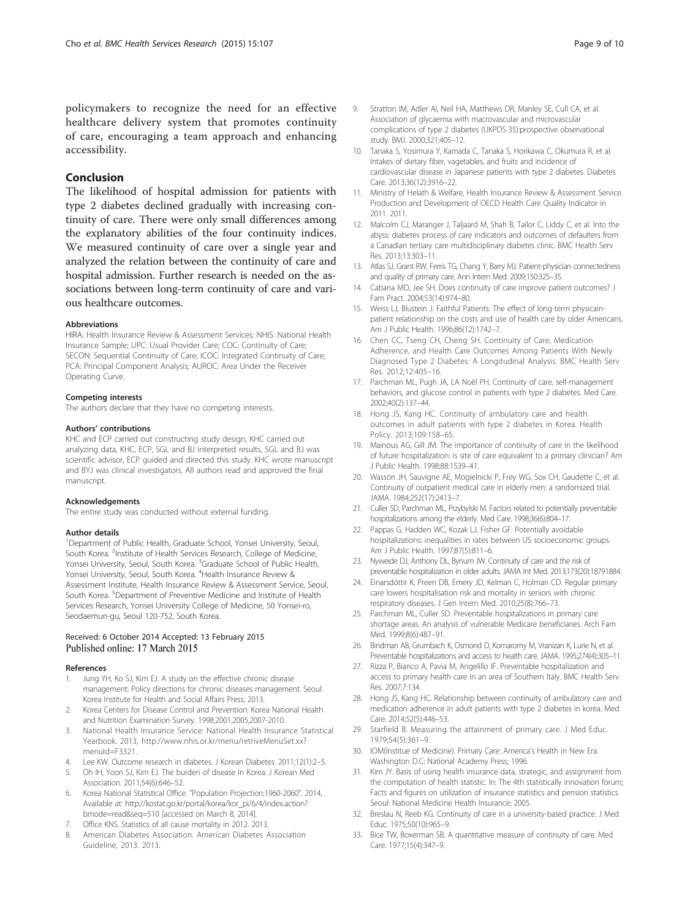#### <span id="page-8-0"></span>Conclusion

The likelihood of hospital admission for patients with type 2 diabetes declined gradually with increasing continuity of care. There were only small differences among the explanatory abilities of the four continuity indices. We measured continuity of care over a single year and analyzed the relation between the continuity of care and hospital admission. Further research is needed on the associations between long-term continuity of care and various healthcare outcomes.

#### Abbreviations

HIRA: Health Insurance Review & Assessment Services; NHIS: National Health Insurance Sample; UPC: Usual Provider Care; COC: Continuity of Care; SECON: Sequential Continuity of Care; ICOC: Integrated Continuity of Care; PCA: Principal Component Analysis; AUROC: Area Under the Receiver Operating Curve.

#### Competing interests

The authors declare that they have no competing interests.

#### Authors' contributions

KHC and ECP carried out constructing study design, KHC carried out analyzing data, KHC, ECP, SGL and BJ interpreted results, SGL and BJ was scientific advisor, ECP guided and directed this study. KHC wrote manuscript and BYJ was clinical investigators. All authors read and approved the final manuscript.

#### Acknowledgements

The entire study was conducted without external funding.

#### Author details

<sup>1</sup>Department of Public Health, Graduate School, Yonsei University, Seoul, South Korea. <sup>2</sup>Institute of Health Services Research, College of Medicine, Yonsei University, Seoul, South Korea. <sup>3</sup>Graduate School of Public Health, Yonsei University, Seoul, South Korea. <sup>4</sup>Health Insurance Review & Assessment Institute, Health Insurance Review & Assessment Service, Seoul, South Korea. <sup>5</sup>Department of Preventive Medicine and Institute of Health Services Research, Yonsei University College of Medicine, 50 Yonsei-ro, Seodaemun-gu, Seoul 120-752, South Korea.

#### Received: 6 October 2014 Accepted: 13 February 2015 Published online: 17 March 2015

#### References

- Jung YH, Ko SJ, Kim EJ. A study on the effective chronic disease management: Policy directions for chronic diseases management. Seoul: Korea Institute for Health and Social Affairs Press; 2013.
- 2. Korea Centers for Disease Control and Prevention: Korea National Health and Nutrition Examination Survey. 1998,2001,2005,2007-2010.
- 3. National Health Insurance Service: National Health Insurance Statistical Yearbook. 2013, [http://www.nhis.or.kr/menu/retriveMenuSet.xx?](http://www.nhis.or.kr/menu/retriveMenuSet.xx?menuId=F3321) [menuId=F3321](http://www.nhis.or.kr/menu/retriveMenuSet.xx?menuId=F3321).
- 4. Lee KW. Outcome research in diabetes. J Korean Diabetes. 2011;12(1):2–5.
- 5. Oh IH, Yoon SJ, Kim EJ. The burden of disease in Korea. J Korean Med Association. 2011;54(6):646–52.
- 6. Korea National Statistical Office. "Population Projection:1960-2060". 2014, Available at: [http://kostat.go.kr/portal/korea/kor\\_pi/6/4/index.action?](http://kostat.go.kr/portal/korea/kor_pi/6/4/index.action?bmode=read&seq=510) [bmode=read&seq=510](http://kostat.go.kr/portal/korea/kor_pi/6/4/index.action?bmode=read&seq=510) [accessed on March 8, 2014].
- 7. Office KNS. Statistics of all cause mortality in 2012. 2013.
- 8. American Diabetes Association. American Diabetes Association Guideline, 2013. 2013.
- 9. Stratton IM, Adler AI, Neil HA, Matthews DR, Manley SE, Cull CA, et al. Association of glycaemia with macrovascular and microvascular complications of type 2 diabetes (UKPDS 35):prospective observational study. BMJ. 2000;321:405–12.
- 10. Tanaka S, Yosimura Y, Kamada C, Tanaka S, Horikawa C, Okumura R, et al. Intakes of dietary fiber, vagetables, and fruits and incidence of cardiovascular disease in Japanese patients with type 2 diabetes. Diabetes Care. 2013;36(12):3916–22.
- 11. Ministry of Helath & Welfare, Health Insurance Review & Assessment Service. Production and Development of OECD Health Care Quality Indicator in 2011. 2011.
- 12. Malcolm CJ, Maranger J, Taljaard M, Shah B, Tailor C, Liddy C, et al. Into the abyss: diabetes process of care indicators and outcomes of defaulters from a Canadian tertiary care multidisciplinary diabetes clinic. BMC Health Serv Res. 2013;13:303–11.
- 13. Atlas SJ, Grant RW, Ferris TG, Chang Y, Barry MJ. Patient-physician connectedness and quality of primary care. Ann Intern Med. 2009;150:325–35.
- 14. Cabana MD, Jee SH. Does continuity of care improve patient outcomes? J Fam Pract. 2004;53(14):974–80.
- 15. Weiss LJ, Blustein J. Faithful Patients: The effect of long-term physicainpatient relationship on the costs and use of health care by older Americans. Am J Public Health. 1996;86(12):1742–7.
- 16. Chen CC, Tseng CH, Cheng SH. Continuity of Care, Medication Adherence, and Health Care Outcomes Among Patients With Newly Diagnosed Type 2 Diabetes: A Longitudinal Analysis. BMC Health Serv Res. 2012;12:405–16.
- 17. Parchman ML, Pugh JA, LA Noël PH. Continuity of care, self-management behaviors, and glucose control in patients with type 2 diabetes. Med Care. 2002;40(2):137–44.
- 18. Hong JS, Kang HC. Continuity of ambulatory care and health outcomes in adult patients with type 2 diabetes in Korea. Health Policy. 2013;109:158–65.
- 19. Mainous AG, Gill JM. The importance of continuity of care in the likelihood of future hospitalization: is site of care equivalent to a primary clinician? Am J Public Health. 1998;88:1539–41.
- 20. Wasson JH, Sauvigne AE, Mogielnicki P, Frey WG, Sox CH, Gaudette C, et al. Continuity of outpatient medical care in elderly men: a randomized trial. JAMA. 1984;252(17):2413–7.
- 21. Culler SD, Parchman ML, Przybylski M. Factors related to potentially preventable hospitalizations among the elderly. Med Care. 1998;36(6):804–17.
- 22. Pappas G, Hadden WC, Kozak LJ, Fisher GF. Potentially avoidable hospitalizations: inequalities in rates between US socioeconomic groups. Am J Public Health. 1997;87(5):811–6.
- 23. Nyweide DJ, Anthony DL, Bynum JW. Continuity of care and the risk of preventable hospitalization in older adults. JAMA Int Med. 2013;173(20):18791884.
- 24. Einarsdóttir K, Preen DB, Emery JD, Kelman C, Holman CD. Regular primary care lowers hospitalisation risk and mortality in seniors with chronic respiratory diseases. J Gen Intern Med. 2010;25(8):766–73.
- 25. Parchman ML, Culler SD. Preventable hospitalizations in primary care shortage areas. An analysis of vulnerable Medicare beneficiaries. Arch Fam Med. 1999;8(6):487–91.
- 26. Bindman AB, Grumbach K, Osmond D, Komaromy M, Vranizan K, Lurie N, et al. Preventable hospitalizations and access to health care. JAMA. 1995;274(4):305–11.
- 27. Rizza P, Bianco A, Pavia M, Angelillo IF. Preventable hospitalization and access to primary health care in an area of Southern Italy. BMC Health Serv Res. 2007;7:134.
- 28. Hong JS, Kang HC. Relationship between continuity of ambulatory care and medication adherence in adult patients with type 2 diabetes in korea. Med Care. 2014;52(5):446–53.
- 29. Starfield B. Measuring the attainment of primary care. J Med Educ. 1979;54(5):361–9.
- 30. IOM(Institue of Medicine). Primary Care: America's Health in New Era. Washington D.C: National Academy Press; 1996.
- 31. Kim JY. Basis of using health insurance data, strategic, and assignment from the computation of health statistic. In: The 4th statistically innovation forum; Facts and figures on utilization of insurance statistics and pension statistics. Seoul: National Medicine Health Insurance; 2005.
- 32. Breslau N, Reeb KG. Continuity of care in a university-based practice. J Med Educ. 1975;50(10):965–9.
- 33. Bice TW, Boxerman SB. A quantitative measure of continuity of care. Med Care. 1977;15(4):347–9.